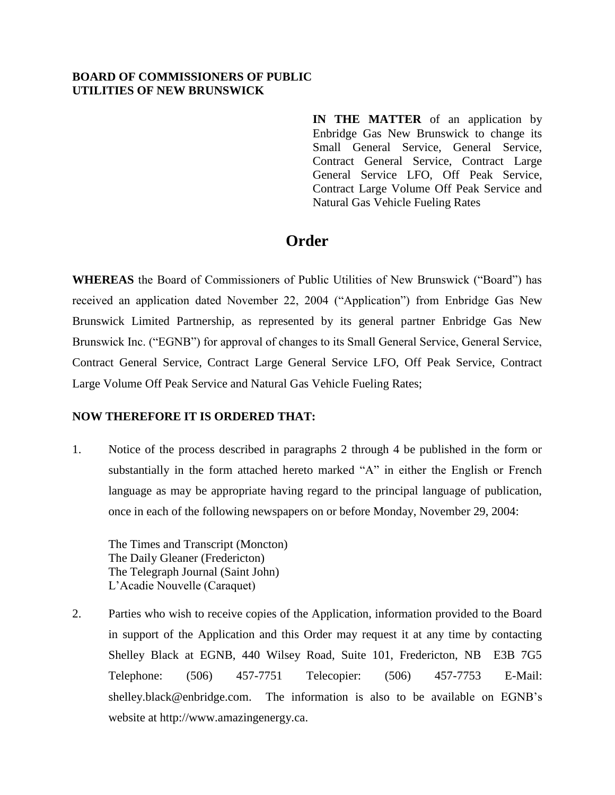## **BOARD OF COMMISSIONERS OF PUBLIC UTILITIES OF NEW BRUNSWICK**

**IN THE MATTER** of an application by Enbridge Gas New Brunswick to change its Small General Service, General Service, Contract General Service, Contract Large General Service LFO, Off Peak Service, Contract Large Volume Off Peak Service and Natural Gas Vehicle Fueling Rates

## **Order**

**WHEREAS** the Board of Commissioners of Public Utilities of New Brunswick ("Board") has received an application dated November 22, 2004 ("Application") from Enbridge Gas New Brunswick Limited Partnership, as represented by its general partner Enbridge Gas New Brunswick Inc. ("EGNB") for approval of changes to its Small General Service, General Service, Contract General Service, Contract Large General Service LFO, Off Peak Service, Contract Large Volume Off Peak Service and Natural Gas Vehicle Fueling Rates;

## **NOW THEREFORE IT IS ORDERED THAT:**

1. Notice of the process described in paragraphs 2 through 4 be published in the form or substantially in the form attached hereto marked "A" in either the English or French language as may be appropriate having regard to the principal language of publication, once in each of the following newspapers on or before Monday, November 29, 2004:

The Times and Transcript (Moncton) The Daily Gleaner (Fredericton) The Telegraph Journal (Saint John) L'Acadie Nouvelle (Caraquet)

2. Parties who wish to receive copies of the Application, information provided to the Board in support of the Application and this Order may request it at any time by contacting Shelley Black at EGNB, 440 Wilsey Road, Suite 101, Fredericton, NB E3B 7G5 Telephone: (506) 457-7751 Telecopier: (506) 457-7753 E-Mail: [shelley.black@enbridge.com.](mailto:shelley.black@enbridge.com) The information is also to be available on EGNB's website at [http://www.amazingenergy.ca.](http://www.amazingenergy.ca/)